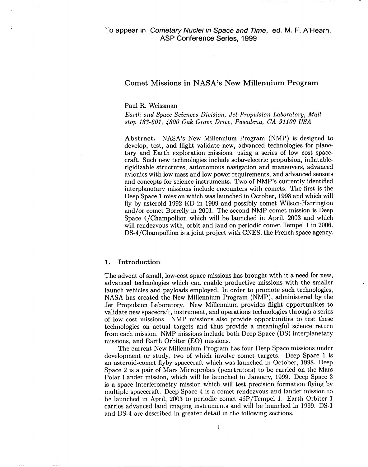# **Comet Missions in NASA's New Millennium Program**

Paul R. Weissman

.

*Earth and Space Sciences Division, Jet Propulsion Laboratory, Mail stop 183-601, 4800 Oak Grove Drive, Pasadena, CA 91109 USA*

**Abstract.** NASA's New Millennium Program (NMP) is designed to develop, test, and flight validate new, advanced technologies for planetary and Earth exploration missions, using a series of low cost spacecraft. Such new technologies include solar-electric propulsion, inflatablerigidizable structures, autonomous navigation and maneuvers, advanced avionics with low mass and low power requirements, and advanced sensors and concepts for science instruments. Two of NMP's currently identified interplanetary missions include encounters with comets. The first is the Deep Space 1 mission which was launched in October, 1998 and which will fly by asteroid 1992 KD in 1999 and possibly comet Wilson-Harrington and/or comet Borrelly in 2001. The second NMP comet mission is Deep Space 4/Champollion which will be launched in April, 2003 and which will rendezvous with, orbit and land on periodic comet Tempel 1 in 2006. DS-4/Champollion is a joint project with CNES, the French space agency.

# **1. Introduction**

The advent of small, low-cost space missions has brought with it a need for new, advanced technologies which can enable productive missions with the smaller launch vehicles and payloads employed. In order to promote such technologies, NASA has created the New Millennium Program (NMP), administered by **the** Jet Propulsion Laboratory. New Millennium provides flight opportunities to validate new spacecraft, instrument, and operations technologies through a series of low cost missions. NMP missions also provide opportunities to test these technologies on actual targets and thus provide a meaningful science return from each mission. NMP missions include both Deep Space (DS) interplanetary missions, and Earth Orbiter (EO) missions.

The current New Millennium Program has four Deep Space missions under development or study, two of which involve comet targets. Deep Space 1 is an asteroid-comet flyby spacecraft which was launched in October, **1998.** Deep Space 2 is a pair of Mars Microprobe (penetrators) to be carried on the Mars Polar Lander mission, which will be launched in January, 1999. Deep Space 3 is a space interferometry mission which will test precision formation flying by multiple spacecraft. Deep Space 4 is a comet rendezvous and lander mission to be launched in April, 2003 to periodic comet  $46P/T$ empel 1. Earth Orbiter 1 carries advanced land imaging instruments and will be launched in 1999. DS-1 and DS-4 are described in greater detail in the following sections.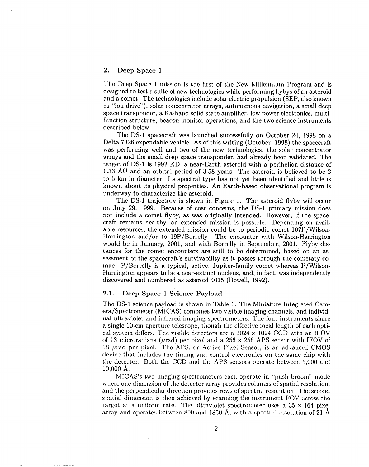# **2. Deep Space 1**

The Deep Space 1 mission is the first of the New Millennium Program and is designed to test a suite of new technologies while performing flybys of an asteroid and a comet. The technologies include solar electric propulsion (SEP, also known as "ion drive"), solar concentrator arrays, autonomous navigation, a small deep space transponder, a Ka-band solid state amplifier, low power electronics, multifunction structure, beacon monitor operations, and the two science instruments described below.

The DS-1 spacecraft was launched successfully on October 24, 1998 on a Delta 7326 expendable vehicle. As of this writing (October, 1998) the spacecraft was performing well and two of the new technologies, the solar concentrator arrays and the small deep space transponder, had already been validated. The target of DS-1 is 1992 KD, a near-Earth asteroid with a perihelion distance of 1.33 AU and an orbital period of 3.58 years. The asteroid is believed to be 2 to 5 km in diameter. Its spectral type has not yet been identified and little is known about its physical properties. An Earth-based observational program is underway to characterize the asteroid.

The DS-1 trajectory is shown in Figure 1. The asteroid flyby will occur on July 29, 1999. Because of cost concerns, the DS-1 primary mission does not include a comet flyby, as was originally intended. However, if the spacecraft remains healthy, an extended mission is possible. Depending on available resources, the extended mission could be to periodic comet 107P/Wilson-Harrington and/or to 19P/Borrelly. The encounter with Wilson-Harrington would be in January, 2001, and with Borrelly in September, 2001. Flyby distances for the comet encounters are still to be determined, based on an assessment of the spacecraft's survivability as it passes through the cometary comae. P/Borrelly is a typical, active, Jupiter-family comet whereas P/Wilson-Harrington appears to be a near-extinct nucleus, and, in fact, was independently discovered and numbered as asteroid 4015 (Bowell, 1992).

#### **2.1. Deep Space 1 Science Payload**

The DS-1 science payload is shown in Table 1. The Miniature Integrated Camera/Spectrometer (MICAS) combines two visible imaging channels, and individual ultraviolet and infrared imaging spectrometers. The four instruments share a single 10-cm aperture telescope, though the effective focal length of each optical system differs. The visible detectors are a  $1024 \times 1024$  CCD with an IFOV of 13 microradians ( $\mu$ rad) per pixel and a 256 x 256 APS sensor with IFOV of 18  $\mu$ rad per pixel. The APS, or Active Pixel Sensor, is an advanced CMOS device that includes the timing and control electronics on the same chip with the detector. Both the CCD and the APS sensors operate between 5,000 and 10,000 A.

MICAS's two imaging spectrometers cacll operate in "push broom" mode where one dimension of the detector array provides columns of spatial resolution, and the perpendicular direction provides rows of spectral resolution. The second spatial dimension is then achieved by scanning the instrument FOV across the target at a uniform rate. The ultraviolet spectrometer uses a  $35 \times 164$  pixel array and operates between 800 and 1850 Å, with a spectral resolution of 21 Å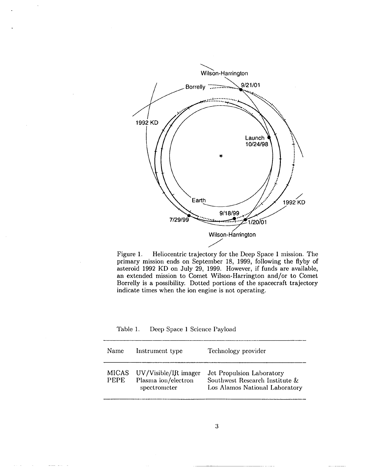

Figure 1. Heliocentric trajectory for the Deep Space 1 mission. The primary mission ends on September 18, 1999, following the flyby of asteroid 1992 KD on July 29, 1999. However, if funds are available, an extended mission to Comet Wilson-Harrington and/or to Comet Borrelly is a possibility. Dotted portions of the spacecraft trajectory indicate times when the ion engine is not operating.

Table 1. Deep Space 1 Science Payload

| Name                        | Instrument type                                             | Technology provider                                                                           |
|-----------------------------|-------------------------------------------------------------|-----------------------------------------------------------------------------------------------|
| <b>MICAS</b><br><b>PEPE</b> | UV/Visible/IR imager<br>Plasma ion/electron<br>spectrometer | Jet Propulsion Laboratory<br>Southwest Research Institute &<br>Los Alamos National Laboratory |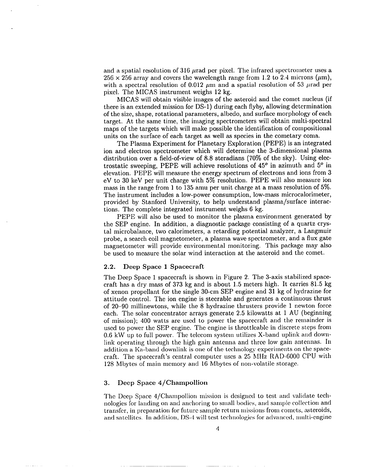and a spatial resolution of  $316 \mu$ rad per pixel. The infrared spectrometer uses a  $256 \times 256$  array and covers the wavelength range from 1.2 to 2.4 microns ( $\mu$ m), with a spectral resolution of 0.012  $\mu$ m and a spatial resolution of 53  $\mu$ rad per pixel. The MICAS instrument weighs 12 kg.

MICAS will obtain visible images of the asteroid and the comet nucleus (if there is an extended mission for DS- 1) during each flyby, allowing determination of the size, shape, rotational parameters, albedo, and surface morphology of each target. At the same time, the imaging spectrometers will obtain multi-spectral maps of the targets which will make possible the identification of compositional units on the surface of each target as well as species in the cometary coma.

The Plasma Experiment for Planetary Exploration (PEPE) is an integrated ion and electron spectrometer which will determine the 3-dimensional plasma distribution over a field-of-view of 8.8 steradians (70% of the sky). Using electrostatic sweeping, PEPE will achieve resolutions of 45° in azimuth and 5° in elevation. PEPE will measure the energy spectrum of electrons and ions from 3 eV to 30 keV per unit charge with  $5\%$  resolution. PEPE will also measure ion mass in the range from 1 to 135 amu per unit charge at a mass resolution of  $5\%$ . The instrument includes a low-power consumption, low-mass rnicrocalorimeter, provided by Stanford University, to help understand plasma/surface interactions. The complete integrated instrument weighs 6 kg.

PEPE will also be used to monitor the plasma environment generated by the SEP engine. In addition, a diagnostic package consisting of a quartz crystal microbalance, two calorimeters, a retarding potential analyzer, a Langmuir probe, a search coil magnetometer, a plasma wave spectrometer, and a flux gate magnetometer will provide environmental monitoring. This package may **also** be used to measure the solar wind interaction at the asteroid and the comet.

#### 2.2. **Deep Space 1 Spacecraft**

The Deep Space 1 spacecraft is shown in Figure 2. The 3-axis stabilized spacecraft has a dry mass of 373 kg and is about 1.5 meters high. It carries 81.5 kg of xenon propellant for the single 30-cm SEP engine and 31 kg of hydrazine for attitude control. The ion engine is steerable and generates a continuous thrust of 20–90 millinewtons, while the 8 hydrazine thrusters provide 1 newton force each. The solar concentrator arrays generate 2.5 kilowatts at 1 AU (beginning of mission); 400 watts are used to power the spacecraft and the remainder is used to power the SEP engine. The engine is throttleable in discrete steps from 0.6 kW up to full power. The telecom system utilizes X-band uplink and downlink operating through the high gain antenna and three low gain antennas. In addition a Ka-band downlink is one of the technology experiments on the spacecraft. The spacecraft's central computer uses a 25 MHz RAD-6000 CPU with 128 Mbytes of main memory and 16 Mbytes of non-volatile storage.

# 3. **Deep Space 4/Champollion**

The Deep Space 4/Champollion mission is designed to test and validate technologies for landing on and anchoring to small bodies, and sample collection and transfer, in preparation for future sample return missions from comets, asteroids, and satellites. In addition, DS-4 will test technologies for advanced, multi-engine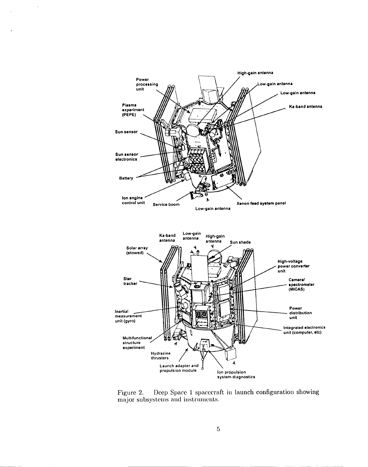

Figure 2. Deep Space 1 spacecraft in launch configuration showing major subsystems and instruments.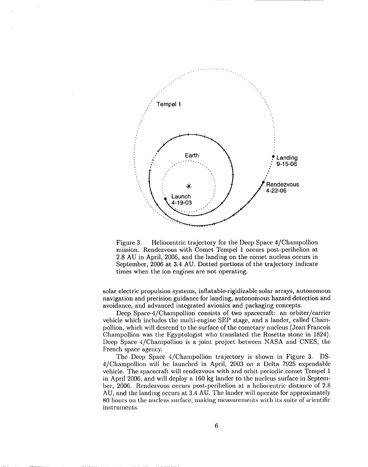

Figure 3. Heliocentric trajectory for the Deep Space 4/Champollion mission. Rendezvous with Comet Tempel 1 occurs post-perihelion at 2.8 AU in April, 2006, and the landing on the comet nucleus occurs in September, 2006 at 3.4 AU. Dotted portions of the trajectory inclicate times when the ion engines are not operating.

solar electric propulsion systems, inflatable-rigidizable solar arrays, autonomous navigation and precision guidance for landing, autonomous hazard detection and avoidance, and advanced integrated avionics and packaging concepts.

Deep Space-4 /Champollion consists of two spacecraft: an orbiter/carrier vehicle which includes the multi-engine SEP stage, and a lander, called Chanlpollion, which will descend to the surface of the cometary nucleus (Jean Francois Champollion was the Egyptologist who translated the Rosetta stone in 1824). Deep Space 4/Champollion is a joint project between NASA and CNES, the French space agency.

The Deep Space 4/Champollion trajectory is shown in Figure 3. DS-4/Champollion will be launched in April, 2003 on a Delta 7925 expendable vehicle. The spacecraft will rendezvous with and orbit periodic comet Tempel 1 in April 2006, and will deploy a 160 kg lander to the nucleus surface in Septemer, 2006. Rendezvous occurs post-perihelion at a heliocentric distance of 2.8 AU, and the landing occurs at 3.4 AU. The lander will operate for approximately 80 hours on the nucleus surface, making measurements with its suite of scientific instruments.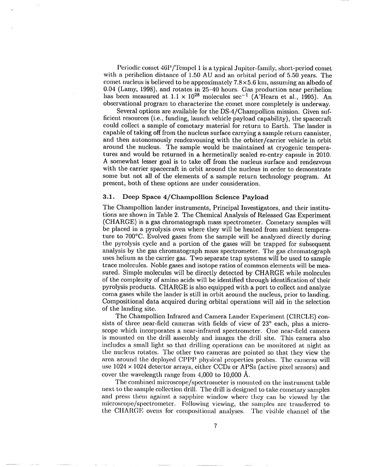Periodic comet 46P/Tempel 1 is a typical Jupiter-family, short-period comet with a perihelion distance of  $1.50$  AU and an orbital period of  $5.50$  years. The comet nucleus is believed to be approximately  $7.8 \times 5.6$  km, assuming an albedo of 0.04 (Lamy, 1998), and rotates in 25-40 hours. Gas production near perihelion has been measured at  $1.1 \times 10^{28}$  molecules sec<sup>-1</sup> (A'Hearn et al., 1995). An observational program to characterize the comet more completely is underway.

Several options are available for the DS-4/Champollion mission. Given sufficient resources (i.e., funding, launch vehicle payload capability), the spacecraft could collect a sample of cometary material for return to Earth. The lander is capable of taking off from the nucleus surface carrying a sample return cannister, and then autonomously rendezvousing with the orbiter/carrier vehicle in orbit around the nucleus. The sample would be maintained at cryogenic temperatures and would be returned in a hermetically sealed re-entry capsule in 2010. A somewhat lesser goal is to take off from the nucleus surface and rendezvous with the carrier spacecraft in orbit around the nucleus in order to demonstrate some but not all of the elements of a sample return technology program. At present, both of these options are under consideration.

# **3.1. Deep Space 4/Champollion Science Payload**

The Champollion lander instruments, Principal Investigators, and their institutions are shown in Table 2. The Chemical Analysis of Released Gas Experiment (CHARGE) is a gas chromatograph mass spectrometer. Cometary samples will be placed in a pyrolysis oven where they will be heated from ambient temperature to 700"C. Evolved gases from the sample will be analyzed directly during the pyrolysis cycle and a portion of the gases will be trapped for subsequent analysis by the gas chromatograph mass spectrometer. The gas chromatograph uses helium as the carrier gas. Two separate trap systems will be used to sample trace molecules. Noble gases and isotope ratios of common elements will be measured. Simple molecules will be directly detected by CHARGE while molecules of the complexity of amino acids will be identified through identificaticm of their pyrolysis products. CHARGE is also equipped with a port to collect and analyze coma gases while the lander is still in orbit around the nucleus, prior to landing. Compositional data acquired during orbital operations will aid in the selection of the landing site.

The Champollion Infrared and Camera Lander Experiment (CIRCLE) consists of three near-field cameras with fields of view of 23° each, plus a microscope which incorporates a near-infrared spectrometer. One near-field camera is mounted on the drill assembly and images the drill site. This camera also includes a small light so that drilling operations can be monitored at night as the nucleus rotates. The other two cameras arc pointed so that they view the area around the deployed CPPP physical properties probes. The cameras will use  $1024 \times 1024$  detector arrays, either CCDs or APSs (active pixel sensors) and cover the wavelength range from 4,000 to 10,000 A.

The combined microscope/spectrometer is mounted on the instrument table next to the sample collection drill. The drill is designed to take cometary samples and press them against a sapphire window where they can be viewed by the microscope/spectrometer. Following viewing, the samples are transferred to the CHARGE ovens for compositional analyses. The visible channel of the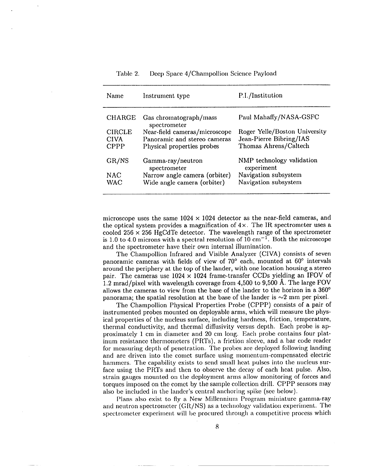Table 2. Deep Space 4/Champollion Science Payload

| Name          | Instrument type                        | P.I./Institution                        |
|---------------|----------------------------------------|-----------------------------------------|
| <b>CHARGE</b> | Gas chromatograph/mass<br>spectrometer | Paul Mahaffy/NASA-GSFC                  |
| <b>CIRCLE</b> | Near-field cameras/microscope          | Roger Yelle/Boston University           |
| <b>CIVA</b>   | Panoramic and stereo cameras           | Jean-Pierre Bibring/IAS                 |
| <b>CPPP</b>   | Physical properties probes             | Thomas Ahrens/Caltech                   |
| GR/NS         | Gamma-ray/neutron<br>spectrometer      | NMP technology validation<br>experiment |
| <b>NAC</b>    | Narrow angle camera (orbiter)          | Navigation subsystem                    |
| WAC           | Wide angle camera (orbiter)            | Navigation subsystem                    |

microscope uses the same  $1024 \times 1024$  detector as the near-field cameras, and the optical system provides a magnification of  $4 \times$ . The IR spectrometer uses a cooled 256  $\times$  256 HgCdTe detector. The wavelength range of the spectrometer is 1.0 to 4.0 microns with a spectral resolution of 10 cm<sup>-1</sup>. Both the microscope and the spectrometer have their own internal illumination.

The Charnpollion Infrared and Visible Analyzer (CIVA) consists of seven panoramic cameras with fields of view of 70° each, mounted at 60" intervals around the periphery at the top of the lander, with one location housing a stereo pair. The cameras use  $1024 \times 1024$  frame-transfer CCDs yielding an IFOV of 1.2 mrad/pixel with wavelength coverage from  $4,500$  to  $9,500$  Å. The large FOV allows the cameras to view from the base of the lander to the horizon in a 360° panorama; the spatial resolution at the base of the lander is  $\sim$ 2 mm per pixel.

The Champollion Physical Properties Probe (CPPP) consists of a pair of instrumented probes mounted on deployable arms, which will measure the physical properties of the nucleus surface, including hardness, friction, temperature, thermal conductivity, and thermal diffusivity versus depth. Each probe is approximately 1 cm in diameter and 20 cm long. Each probe contains four platinum resistance thermometers (PRTs), a friction sleeve, and a bar code reader for measuring depth of penetration. The probes are deployed following landing and are driven into the comet surface using momentum-compensated electric hammers. The capability exists to send small heat pulses into the nucleus surface using the PRTs and then to observe the decay of each heat pulse. Also, strain gauges mounted on the deployment arms allow monitoring of forces and torques imposed on the comet by the sample collection drill. CPPP sensors may also bc included in the lander's central anchoring spike (see below).

Plans also exist to fly a Ncw Millennium Program miniature gamma-ray and neutron spectrometer  $(GR/NS)$  as a technology validation experiment. The spectrometer experiment will be procured through a competitive process which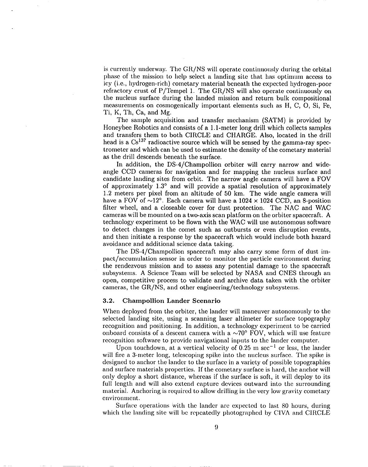is currently underway. The GR/NS will operate continuously during the orbital phase of the mission to help select a landing site that has optimum access to icy (i.e., hydrogen-rich) cometary material beneath the expected hydrogen-poor refractory crust of P/Tempel 1. The GR/NS will also operate continuously on the nucleus surface during the landed mission and return bulk compositional measurements on cosmogenically important elements such as H, C, O, Si, Fe, Ti, K, Th, Ca, and Mg.

The sample acquisition and transfer mechanism (SATM) is provided by Honeybee Robotics and consists of a 1.l-meter long drill which collects samples and transfers them to both CIRCLE and CHARGE. Also, located in the drill head is a  $Cs^{137}$  radioactive source which will be sensed by the gamma-ray spectrometer and which can be used to estimate the density of the cometary material as the drill descends beneath the surface.

In addition, the DS-4/Champollion orbiter will carry narrow and wideangle CCD cameras for navigation and for mapping the nucleus surface and candidate landing sites from orbit. The narrow angle camera will have a FOV of approximately 1.3° and will provide a spatial resolution of approximately 1.2 meters per pixel from an altitude of 50 km. The wide angle camera will have a FOV of  $\sim$ 12°. Each camera will have a 1024  $\times$  1024 CCD, an 8-position filter wheel, and a closeable cover for dust protection. The NAC and WAC cameras will be mounted on a two-axis scan platform on the orbiter spacecraft. A technology experiment to be flown with the WAC will use autonomous software to detect changes in the comet such as outbursts or even disruption events, and then initiate a response by the spacecraft which would include both hazard avoidance and additional science data taking.

The DS-4/Champollion spacecraft may also carry some form of dust impact/accumulation sensor in order to monitor the particle environment during the rendezvous mission and to assess any potential damage to the spacecraft subsystems. A Science Team will be selected by NASA and CNES through an open, competitive process to validate and archive data taken with the orbiter cameras, the GR/NS, and other engineering/technology subsystems.

#### 3.2. Champollion Lander Scenario

When deployed from the orbiter, the lander will maneuver autonomously to the selected landing site, using a scanning lasser altimeter for surface topography recognition and positioning. In addition, a technology experiment to be carried onboard consists of a descent camera with a  $\sim70^{\circ}$  FOV, which will use feature recognition software to provide navigational inputs to the lander computer.

Upon touchdown, at a vertical velocity of 0.25 m sec<sup>-1</sup> or less, the lander will fire a 3-meter long, telescoping spike into the nucleus surface. The spike is designed to anchor the lander to the surface in a variety of possible topographies and surface materials properties. If the cometary surface is hard, the anchor will only deploy a short distance, whereas if the surface is soft, it will deploy to its full length and will also extend capture devices outward into the surrounding material. Anchoring is required to allow drilling in the very low gravity cometary environment.

Surface operations with the lander are expected to last 80 hours, during which the landing site will be repeatedly photographed by CIVA and CIRCLE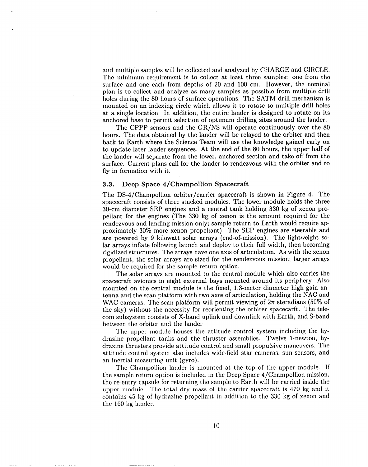and multiple samples will be collected and analyzed by CIIARGE and CIRCLE. The minimum requirement is to collect at least three samples: one from the surface and one each from depths of 20 and 100 cm. However, the nominal plan is to collect and analyze as many samples as possible from multiple drill holes during the 80 hours of surface operations. The SATM drill mechanism is mounted on an indexing circle which allows it to rotate to multiple drill holes at a single location. In addition, the entire lander is designed to rotate on its anchored base to permit selection of optimum drilling sites around the lander.

The CPPP sensors and the GR/NS will operate continuously over the 80 hours. The data obtained by the lander will be relayed to the orbiter and then back to Earth where the Science Team will use the knowledge gained early on to update later lander sequences. At the end of the 80 hours, the upper half of the lander will separate from the lower, anchored section and take off from the surface. Current plans call for the lander to rendezvous with the orbiter and to fly in formation with it.

## 3.3. Deep Space 4/Champollion Spacecraft

The DS-4/Champollion orbiter/carrier spacecraft is shown in Figure 4. The spacecraft consists of three stacked modules. The lower module holds the three 30-cm diameter SEP engines and a central tank holding 330 kg of xenon propellant for the engines (The 330 kg of xenon is the amount required for the rendezvous and landing mission only; sample return to Earth would require ap proximately 30% more xenon propellant). The SEP engines are steerable and are powered by 9 kilowatt solar arrays (end-of-mission). The lightweight solar arrays inflate following launch and deploy to their full width, then becoming rigidized structures. The arrays have one axis of articulation. As with the xenon propellant, the solar arrays are sized for the rendezvous mission; larger arrays would be required for the sample return option.

The solar arrays are mounted to the central module which also carries the spacecraft avionics in eight external bays mounted around its periphery. Also mounted on the central module is the fixed, 1,3-meter diameter high gain antenna and the scan platform with two axes of articulation, holding the NAC and WAC cameras. The scan platform will permit viewing of  $2\pi$  steradians (50% of the sky) without the necessity for reorienting the orbiter spacecarft. The telecom subsystem consists of X-band uplink and downlink with Earth, and S-band between the orbiter and the lander

The upper module houses the attitude control system including the hydrazine propellant tanks and the thruster assemblies. Twelve l-newton, hydrazine thrusters provide attitude control and small propulsive maneuvers. The attitude control system also includes wide-field star cameras, sun sensors, and an inertial measuring unit (gyro).

The Champollion lander is mounted at the top of the upper module. If the sample return option is included in the Deep Space 4/Champollion mission, the re-entry capsule for returning the sample to Earth will be carried inside the upper module. The total dry mass of the carrier spacecraft is 470 kg and it contains 45 kg of hydrazine propellant in addition to the 330 kg of xenon and the 160 kg lander.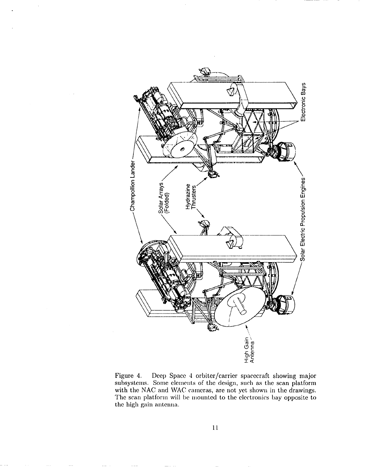

Figure 4. Deep Space 4 orbiter/carrier spacecraft showing major subsystems. Some elements of the design, such as the scan platform with the NAC and WAC cameras, are not yet shown in the drawings. The scan platform will be mounted to the electronics bay opposite to the high gain antemm.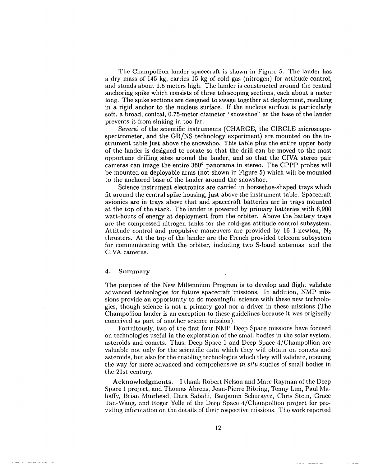The Champollion lander spacecraft is shown in Figure 5. The lander has a dry rm.ss of 145 kg, carries 15 kg of cold gas (nitrogen) for attitucie control, and stands about 1.5 meters high. The lander is constructed around the central anchoring spike which consists of three telescoping sections, each about a meter long. The spike sections are designed to swage together at deployment, resulting in a rigid anchor to the nucleus surface. If the nucleus surface is particularly soft, a broad, conical, 0.75-meter diameter "snowshoe" at the base of the lander prevents it from sinking in too far.

Several of the scientific instruments (CHARGE, the CIRCLE microscopespectrometer, and the GR/NS technology experiment) are mounted on the instrument table just above the snowshoe. This table plus the entire upper body of the lander is designed to rotate so that the drill can be moved to the most opportune drilling sites around the lander, and so that the CIVA stereo pair cameras can image the entire 360° panorama in stereo. The CPPP probes will be mounted on deployable arms (not shown in Figure 5) which will be mounted to the anchored base of the lander around the snowshoe.

Science instrument electronics are carried in horseshoe-shaped trays which fit around the central spike housing, just above the instrument table. Spacecraft avionics are in trays above that and spacecraft batteries are in trays mounted at the top of the stack. The lander is powered by primary batteries with 6,900 watt-hours of energy at deployment from the orbiter. Above the battery trays are the compressed nitrogen tanks for the cold-gas attitude control subsystem. Attitude control and propulsive maneuvers are provided by 16 l-newton, N2 thrusters. At the top of the lander are the French provided telecom subsystem for communicating with the orbiter, including two S-band antennas, and the CIVA cameras.

## 4. **Summary**

The purpose of the New Millennium Program is to develop and flight validate advanced technologies for future spacecraft missions. In addition, NMP missions provide an opportunity to do meaningful science with these new technologies, though science is not a primary goal nor a driver in these missions (The Champollion lander is an exception to these guidelines because it was originally conceived as part of another science mission).

Fortuitously, two of the first four NMP Deep Space missions have focused on technologies useful in the exploration of the small bodies in the solar system, asteroids and comets. Thus, Deep Space 1 and Deep Space 4/Champollion are valuable not only for the scientific data which they will obtain on comets and asteroids, but also for the enabling technologies which they will validate, opening the way for *more* advanced and comprehensive in *situ* studies of small bodies in the 21st century.

**Acknowledgments. 1 thank** Robert Nelson and Marc Rayman of the Deep Space 1 project, and Thomas Ahrens, Jean-Pierre Bibring, Tenny Lim, Paul Mahaffy, Brian Muirhead, Dara Sabahi, Benjamin Schuraytz, Chris Stein, Grace Tan-Wang, and Roger Yelle of the Deep Space 4/Champollion project for providing information on the details of their respective missions. The work reported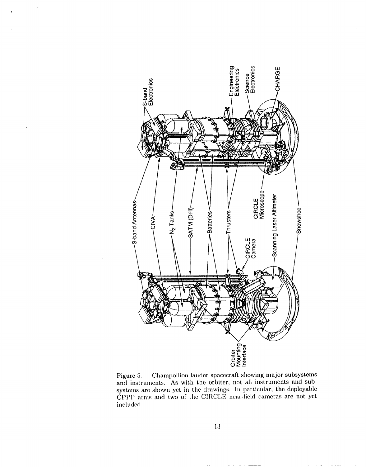

 $\ddot{\phantom{0}}$ 

Figure 5. Champollion lander spacecraft showing major subsystems and instruments. As with the orbiter, not all instruments and subsystems are shown yet in the drawings. In particular, the deployable CPPP arms and two of the CIRCLE near-field cameras are not yet included.